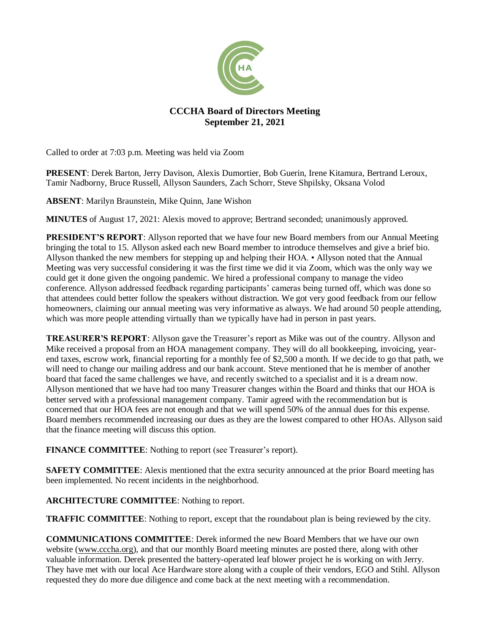

# **CCCHA Board of Directors Meeting September 21, 2021**

Called to order at 7:03 p.m. Meeting was held via Zoom

**PRESENT**: Derek Barton, Jerry Davison, Alexis Dumortier, Bob Guerin, Irene Kitamura, Bertrand Leroux, Tamir Nadborny, Bruce Russell, Allyson Saunders, Zach Schorr, Steve Shpilsky, Oksana Volod

**ABSENT**: Marilyn Braunstein, Mike Quinn, Jane Wishon

**MINUTES** of August 17, 2021: Alexis moved to approve; Bertrand seconded; unanimously approved.

**PRESIDENT'S REPORT**: Allyson reported that we have four new Board members from our Annual Meeting bringing the total to 15. Allyson asked each new Board member to introduce themselves and give a brief bio. Allyson thanked the new members for stepping up and helping their HOA. • Allyson noted that the Annual Meeting was very successful considering it was the first time we did it via Zoom, which was the only way we could get it done given the ongoing pandemic. We hired a professional company to manage the video conference. Allyson addressed feedback regarding participants' cameras being turned off, which was done so that attendees could better follow the speakers without distraction. We got very good feedback from our fellow homeowners, claiming our annual meeting was very informative as always. We had around 50 people attending, which was more people attending virtually than we typically have had in person in past years.

**TREASURER'S REPORT**: Allyson gave the Treasurer's report as Mike was out of the country. Allyson and Mike received a proposal from an HOA management company. They will do all bookkeeping, invoicing, yearend taxes, escrow work, financial reporting for a monthly fee of \$2,500 a month. If we decide to go that path, we will need to change our mailing address and our bank account. Steve mentioned that he is member of another board that faced the same challenges we have, and recently switched to a specialist and it is a dream now. Allyson mentioned that we have had too many Treasurer changes within the Board and thinks that our HOA is better served with a professional management company. Tamir agreed with the recommendation but is concerned that our HOA fees are not enough and that we will spend 50% of the annual dues for this expense. Board members recommended increasing our dues as they are the lowest compared to other HOAs. Allyson said that the finance meeting will discuss this option.

**FINANCE COMMITTEE**: Nothing to report (see Treasurer's report).

**SAFETY COMMITTEE:** Alexis mentioned that the extra security announced at the prior Board meeting has been implemented. No recent incidents in the neighborhood.

# **ARCHITECTURE COMMITTEE**: Nothing to report.

**TRAFFIC COMMITTEE**: Nothing to report, except that the roundabout plan is being reviewed by the city.

**COMMUNICATIONS COMMITTEE**: Derek informed the new Board Members that we have our own website [\(www.cccha.org\)](http://www.cccha.org/), and that our monthly Board meeting minutes are posted there, along with other valuable information. Derek presented the battery-operated leaf blower project he is working on with Jerry. They have met with our local Ace Hardware store along with a couple of their vendors, EGO and Stihl. Allyson requested they do more due diligence and come back at the next meeting with a recommendation.